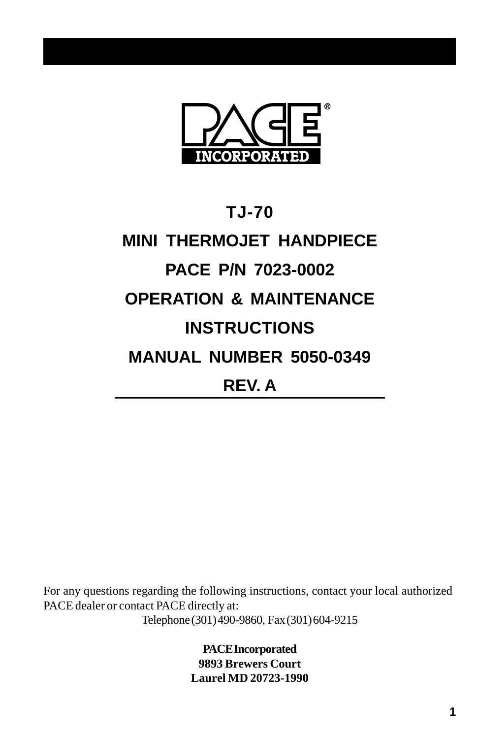

# **TJ-70 MINI THERMOJET HANDPIECE PACE P/N 7023-0002 OPERATION & MAINTENANCE INSTRUCTIONS MANUAL NUMBER 5050-0349 REV. A**

For any questions regarding the following instructions, contact your local authorized PACE dealer or contact PACE directly at: Telephone (301) 490-9860, Fax (301) 604-9215

> **PACE Incorporated 9893 Brewers Court Laurel MD 20723-1990**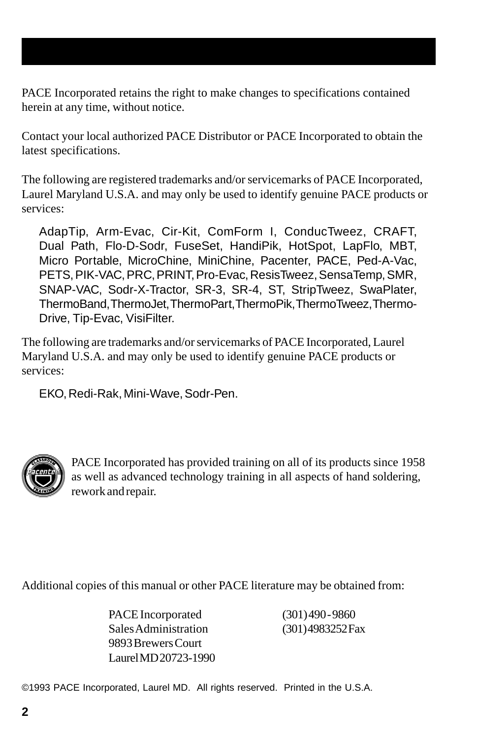PACE Incorporated retains the right to make changes to specifications contained herein at any time, without notice.

Contact your local authorized PACE Distributor or PACE Incorporated to obtain the latest specifications.

The following are registered trademarks and/or servicemarks of PACE Incorporated, Laurel Maryland U.S.A. and may only be used to identify genuine PACE products or services:

AdapTip, Arm-Evac, Cir-Kit, ComForm I, ConducTweez, CRAFT, Dual Path, Flo-D-Sodr, FuseSet, HandiPik, HotSpot, LapFlo, MBT, Micro Portable, MicroChine, MiniChine, Pacenter, PACE, Ped-A-Vac, PETS, PIK-VAC, PRC, PRINT, Pro-Evac, ResisTweez, SensaTemp, SMR, SNAP-VAC, Sodr-X-Tractor, SR-3, SR-4, ST, StripTweez, SwaPlater, ThermoBand, ThermoJet, ThermoPart, ThermoPik, ThermoTweez, Thermo-Drive, Tip-Evac, VisiFilter.

The following are trademarks and/or servicemarks of PACE Incorporated, Laurel Maryland U.S.A. and may only be used to identify genuine PACE products or services:

EKO, Redi-Rak, Mini-Wave, Sodr-Pen.



PACE Incorporated has provided training on all of its products since 1958 as well as advanced technology training in all aspects of hand soldering, rework and repair.

Additional copies of this manual or other PACE literature may be obtained from:

PACE Incorporated (301) 490 - 9860 Sales Administration (301) 4983252 Fax 9893 Brewers Court Laurel MD 20723-1990

©1993 PACE Incorporated, Laurel MD. All rights reserved. Printed in the U.S.A.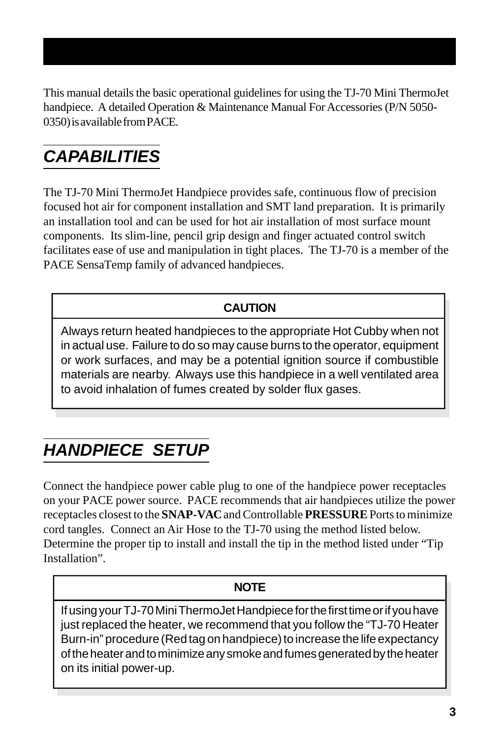This manual details the basic operational guidelines for using the TJ-70 Mini ThermoJet handpiece. A detailed Operation & Maintenance Manual For Accessories (P/N 5050- 0350) is available from PACE.

# *CAPABILITIES*

The TJ-70 Mini ThermoJet Handpiece provides safe, continuous flow of precision focused hot air for component installation and SMT land preparation. It is primarily an installation tool and can be used for hot air installation of most surface mount components. Its slim-line, pencil grip design and finger actuated control switch facilitates ease of use and manipulation in tight places. The TJ-70 is a member of the PACE SensaTemp family of advanced handpieces.

### **CAUTION**

Always return heated handpieces to the appropriate Hot Cubby when not in actual use. Failure to do so may cause burns to the operator, equipment or work surfaces, and may be a potential ignition source if combustible materials are nearby. Always use this handpiece in a well ventilated area to avoid inhalation of fumes created by solder flux gases.

### *HANDPIECE SETUP*

Connect the handpiece power cable plug to one of the handpiece power receptacles on your PACE power source. PACE recommends that air handpieces utilize the power receptacles closest to the **SNAP-VAC** and Controllable **PRESSURE** Ports to minimize cord tangles. Connect an Air Hose to the TJ-70 using the method listed below. Determine the proper tip to install and install the tip in the method listed under "Tip Installation".

#### **NOTE**

If using your TJ-70 Mini ThermoJet Handpiece for the first time or if you have just replaced the heater, we recommend that you follow the "TJ-70 Heater Burn-in" procedure (Red tag on handpiece) to increase the life expectancy of the heater and to minimize any smoke and fumes generated by the heater on its initial power-up.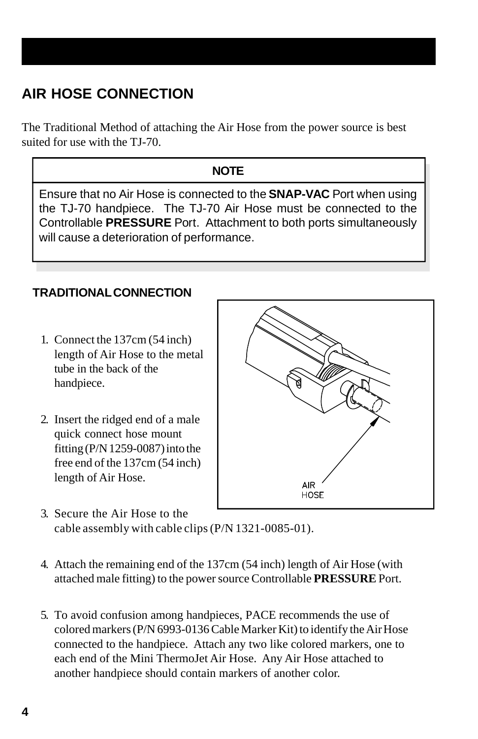### **AIR HOSE CONNECTION**

The Traditional Method of attaching the Air Hose from the power source is best suited for use with the TJ-70.

### **NOTE**

Ensure that no Air Hose is connected to the **SNAP-VAC** Port when using the TJ-70 handpiece. The TJ-70 Air Hose must be connected to the Controllable **PRESSURE** Port. Attachment to both ports simultaneously will cause a deterioration of performance.

#### **TRADITIONAL CONNECTION**

- 1. Connect the 137cm (54 inch) length of Air Hose to the metal tube in the back of the handpiece.
- 2. Insert the ridged end of a male quick connect hose mount fitting (P/N 1259-0087) into the free end of the 137cm (54 inch) length of Air Hose.



- 3. Secure the Air Hose to the cable assembly with cable clips (P/N 1321-0085-01).
- 4. Attach the remaining end of the 137cm (54 inch) length of Air Hose (with attached male fitting) to the power source Controllable **PRESSURE** Port.
- 5. To avoid confusion among handpieces, PACE recommends the use of colored markers (P/N 6993-0136 Cable Marker Kit) to identify the Air Hose connected to the handpiece. Attach any two like colored markers, one to each end of the Mini ThermoJet Air Hose. Any Air Hose attached to another handpiece should contain markers of another color.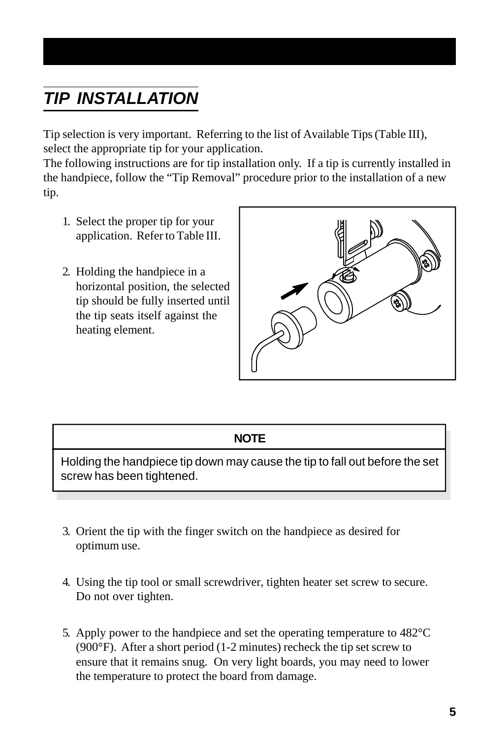# *TIP INSTALLATION*

Tip selection is very important. Referring to the list of Available Tips (Table III), select the appropriate tip for your application.

The following instructions are for tip installation only. If a tip is currently installed in the handpiece, follow the "Tip Removal" procedure prior to the installation of a new tip.

- 1. Select the proper tip for your application. Refer to Table III.
- 2. Holding the handpiece in a horizontal position, the selected tip should be fully inserted until the tip seats itself against the heating element.



#### **NOTE**

Holding the handpiece tip down may cause the tip to fall out before the set screw has been tightened.

- 3. Orient the tip with the finger switch on the handpiece as desired for optimum use.
- 4. Using the tip tool or small screwdriver, tighten heater set screw to secure. Do not over tighten.
- 5. Apply power to the handpiece and set the operating temperature to 482°C (900°F). After a short period (1-2 minutes) recheck the tip set screw to ensure that it remains snug. On very light boards, you may need to lower the temperature to protect the board from damage.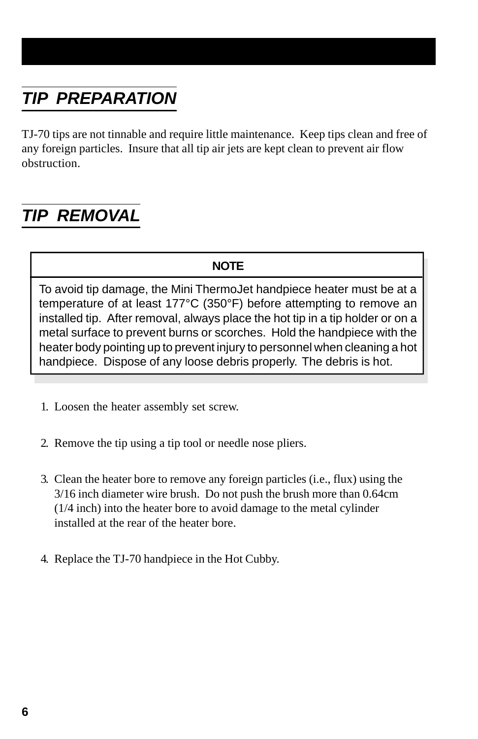# *TIP PREPARATION*

TJ-70 tips are not tinnable and require little maintenance. Keep tips clean and free of any foreign particles. Insure that all tip air jets are kept clean to prevent air flow obstruction.

### *TIP REMOVAL*

#### **NOTE**

To avoid tip damage, the Mini ThermoJet handpiece heater must be at a temperature of at least 177°C (350°F) before attempting to remove an installed tip. After removal, always place the hot tip in a tip holder or on a metal surface to prevent burns or scorches. Hold the handpiece with the heater body pointing up to prevent injury to personnel when cleaning a hot handpiece. Dispose of any loose debris properly. The debris is hot.

- 1. Loosen the heater assembly set screw.
- 2. Remove the tip using a tip tool or needle nose pliers.
- 3. Clean the heater bore to remove any foreign particles (i.e., flux) using the 3/16 inch diameter wire brush. Do not push the brush more than 0.64cm (1/4 inch) into the heater bore to avoid damage to the metal cylinder installed at the rear of the heater bore.
- 4. Replace the TJ-70 handpiece in the Hot Cubby.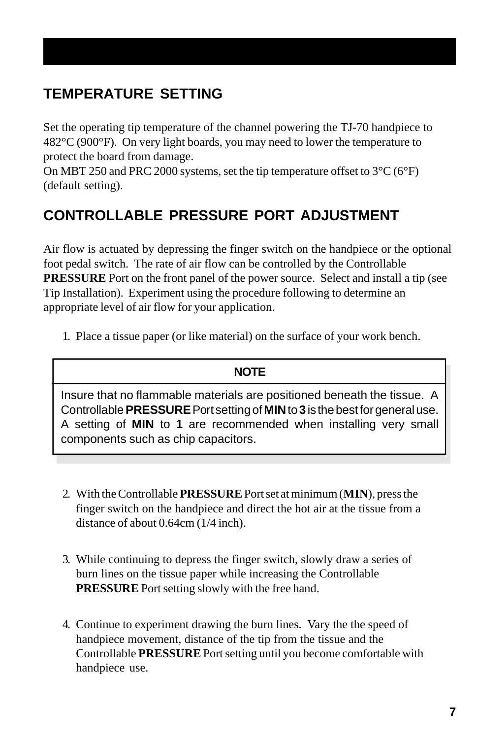### **TEMPERATURE SETTING**

Set the operating tip temperature of the channel powering the TJ-70 handpiece to 482°C (900°F). On very light boards, you may need to lower the temperature to protect the board from damage.

On MBT 250 and PRC 2000 systems, set the tip temperature offset to  $3^{\circ}C(6^{\circ}F)$ (default setting).

### **CONTROLLABLE PRESSURE PORT ADJUSTMENT**

Air flow is actuated by depressing the finger switch on the handpiece or the optional foot pedal switch. The rate of air flow can be controlled by the Controllable **PRESSURE** Port on the front panel of the power source. Select and install a tip (see Tip Installation). Experiment using the procedure following to determine an appropriate level of air flow for your application.

1. Place a tissue paper (or like material) on the surface of your work bench.

#### **NOTE**

Insure that no flammable materials are positioned beneath the tissue. A Controllable **PRESSURE** Port setting of **MIN** to**3** is the best for general use. A setting of **MIN** to **1** are recommended when installing very small components such as chip capacitors.

- 2. With the Controllable**PRESSURE** Port set at minimum (**MIN**), press the finger switch on the handpiece and direct the hot air at the tissue from a distance of about 0.64cm (1/4 inch).
- 3. While continuing to depress the finger switch, slowly draw a series of burn lines on the tissue paper while increasing the Controllable **PRESSURE** Port setting slowly with the free hand.
- 4. Continue to experiment drawing the burn lines. Vary the the speed of handpiece movement, distance of the tip from the tissue and the Controllable **PRESSURE** Port setting until you become comfortable with handpiece use.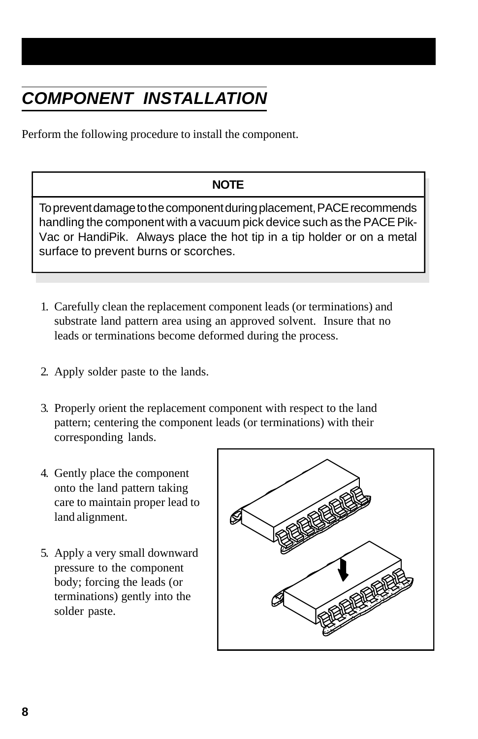# *COMPONENT INSTALLATION*

Perform the following procedure to install the component.

#### **NOTE**

To prevent damage to the component during placement, PACE recommends handling the component with a vacuum pick device such as the PACE Pik-Vac or HandiPik. Always place the hot tip in a tip holder or on a metal surface to prevent burns or scorches.

- 1. Carefully clean the replacement component leads (or terminations) and substrate land pattern area using an approved solvent. Insure that no leads or terminations become deformed during the process.
- 2. Apply solder paste to the lands.
- 3. Properly orient the replacement component with respect to the land pattern; centering the component leads (or terminations) with their corresponding lands.
- 4. Gently place the component onto the land pattern taking care to maintain proper lead to land alignment.
- 5. Apply a very small downward pressure to the component body; forcing the leads (or terminations) gently into the solder paste.

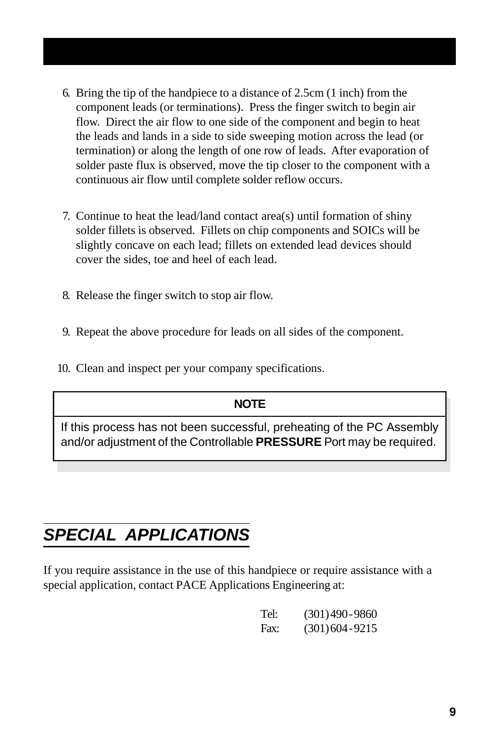- 6. Bring the tip of the handpiece to a distance of 2.5cm (1 inch) from the component leads (or terminations). Press the finger switch to begin air flow. Direct the air flow to one side of the component and begin to heat the leads and lands in a side to side sweeping motion across the lead (or termination) or along the length of one row of leads. After evaporation of solder paste flux is observed, move the tip closer to the component with a continuous air flow until complete solder reflow occurs.
- 7. Continue to heat the lead/land contact area(s) until formation of shiny solder fillets is observed. Fillets on chip components and SOICs will be slightly concave on each lead; fillets on extended lead devices should cover the sides, toe and heel of each lead.
- 8. Release the finger switch to stop air flow.
- 9. Repeat the above procedure for leads on all sides of the component.
- 10. Clean and inspect per your company specifications.

#### **NOTE**

If this process has not been successful, preheating of the PC Assembly and/or adjustment of the Controllable **PRESSURE** Port may be required.

### *SPECIAL APPLICATIONS*

If you require assistance in the use of this handpiece or require assistance with a special application, contact PACE Applications Engineering at:

| Tel: | $(301)490 - 9860$  |
|------|--------------------|
| Fax: | $(301)$ 604 - 9215 |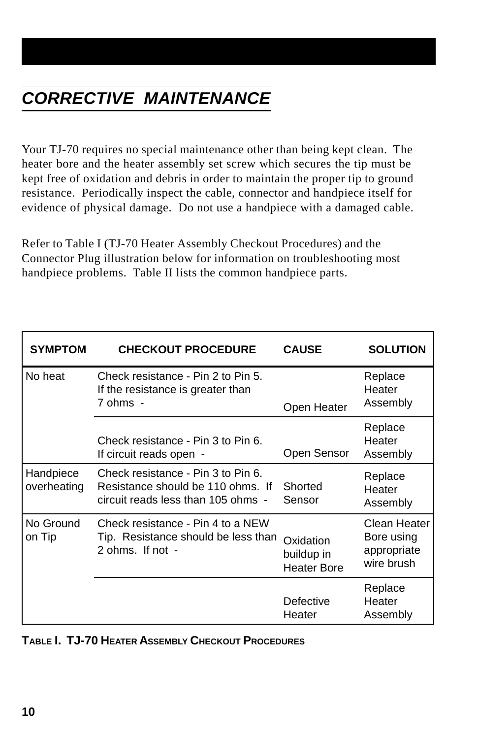Your TJ-70 requires no special maintenance other than being kept clean. The heater bore and the heater assembly set screw which secures the tip must be kept free of oxidation and debris in order to maintain the proper tip to ground resistance. Periodically inspect the cable, connector and handpiece itself for evidence of physical damage. Do not use a handpiece with a damaged cable.

Refer to Table I (TJ-70 Heater Assembly Checkout Procedures) and the Connector Plug illustration below for information on troubleshooting most handpiece problems. Table II lists the common handpiece parts.

| <b>SYMPTOM</b>           | <b>CHECKOUT PROCEDURE</b>                                                                                     | <b>CAUSE</b>                                  | <b>SOLUTION</b>                                         |
|--------------------------|---------------------------------------------------------------------------------------------------------------|-----------------------------------------------|---------------------------------------------------------|
| No heat                  | Check resistance - Pin 2 to Pin 5.<br>If the resistance is greater than<br>7 ohms -                           | Open Heater                                   | Replace<br>Heater<br>Assembly                           |
|                          | Check resistance - Pin 3 to Pin 6.<br>If circuit reads open -                                                 | Open Sensor                                   | Replace<br>Heater<br>Assembly                           |
| Handpiece<br>overheating | Check resistance - Pin 3 to Pin 6.<br>Resistance should be 110 ohms. If<br>circuit reads less than 105 ohms - | Shorted<br>Sensor                             | Replace<br>Heater<br>Assembly                           |
| No Ground<br>on Tip      | Check resistance - Pin 4 to a NEW<br>Tip. Resistance should be less than<br>2 ohms. If not -                  | Oxidation<br>buildup in<br><b>Heater Bore</b> | Clean Heater<br>Bore using<br>appropriate<br>wire brush |
|                          |                                                                                                               | Defective<br>Heater                           | Replace<br>Heater<br>Assembly                           |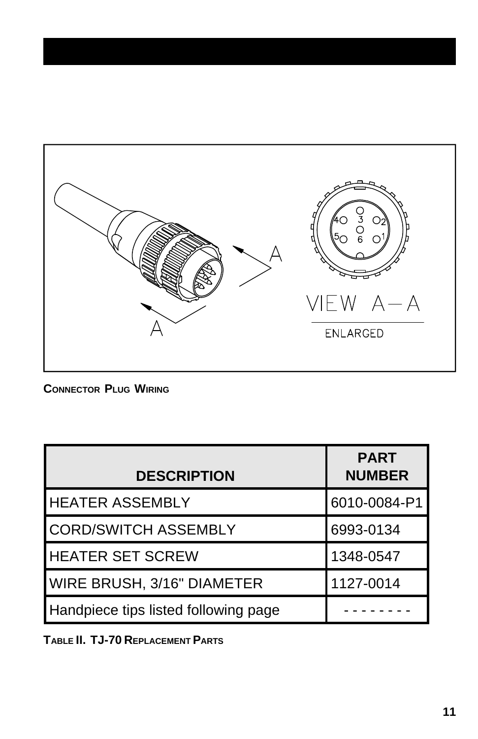

**CONNECTOR PLUG WIRING**

| <b>DESCRIPTION</b>                   | <b>PART</b><br><b>NUMBER</b> |  |
|--------------------------------------|------------------------------|--|
| <b>HEATER ASSEMBLY</b>               | 6010-0084-P1                 |  |
| <b>CORD/SWITCH ASSEMBLY</b>          | 6993-0134                    |  |
| <b>HEATER SET SCREW</b>              | 1348-0547                    |  |
| <b>WIRE BRUSH, 3/16" DIAMETER</b>    | 1127-0014                    |  |
| Handpiece tips listed following page |                              |  |

**TABLE II. TJ-70 REPLACEMENT PARTS**